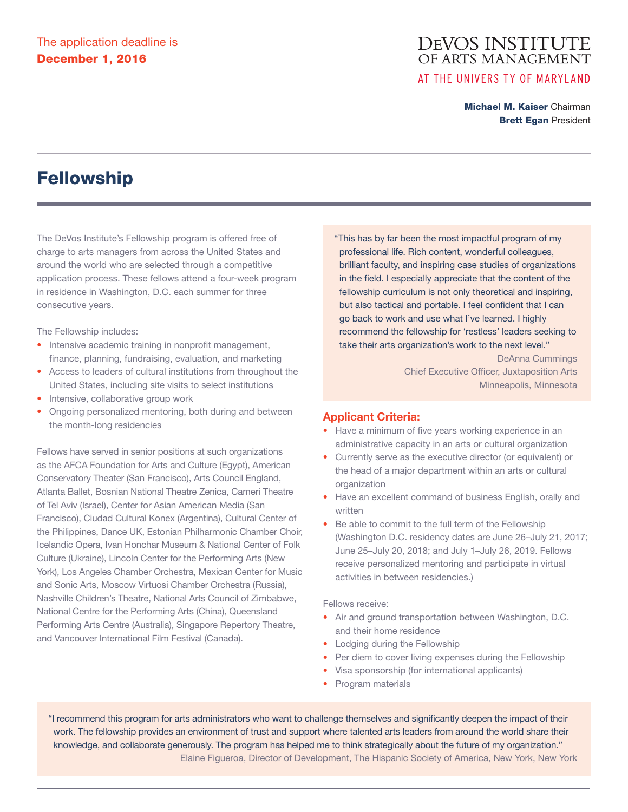# **DEVOS INSTITUTE** OF ARTS MANAGEMENT AT THE UNIVERSITY OF MARYLAND

Michael M. Kaiser Chairman **Brett Egan President** 

# Fellowship

The DeVos Institute's Fellowship program is offered free of charge to arts managers from across the United States and around the world who are selected through a competitive application process. These fellows attend a four-week program in residence in Washington, D.C. each summer for three consecutive years.

The Fellowship includes:

- Intensive academic training in nonprofit management, finance, planning, fundraising, evaluation, and marketing
- Access to leaders of cultural institutions from throughout the United States, including site visits to select institutions
- Intensive, collaborative group work
- Ongoing personalized mentoring, both during and between the month-long residencies

Fellows have served in senior positions at such organizations as the AFCA Foundation for Arts and Culture (Egypt), American Conservatory Theater (San Francisco), Arts Council England, Atlanta Ballet, Bosnian National Theatre Zenica, Cameri Theatre of Tel Aviv (Israel), Center for Asian American Media (San Francisco), Ciudad Cultural Konex (Argentina), Cultural Center of the Philippines, Dance UK, Estonian Philharmonic Chamber Choir, Icelandic Opera, Ivan Honchar Museum & National Center of Folk Culture (Ukraine), Lincoln Center for the Performing Arts (New York), Los Angeles Chamber Orchestra, Mexican Center for Music and Sonic Arts, Moscow Virtuosi Chamber Orchestra (Russia), Nashville Children's Theatre, National Arts Council of Zimbabwe, National Centre for the Performing Arts (China), Queensland Performing Arts Centre (Australia), Singapore Repertory Theatre, and Vancouver International Film Festival (Canada).

"This has by far been the most impactful program of my professional life. Rich content, wonderful colleagues, brilliant faculty, and inspiring case studies of organizations in the field. I especially appreciate that the content of the fellowship curriculum is not only theoretical and inspiring, but also tactical and portable. I feel confident that I can go back to work and use what I've learned. I highly recommend the fellowship for 'restless' leaders seeking to take their arts organization's work to the next level."

> DeAnna Cummings Chief Executive Officer, Juxtaposition Arts Minneapolis, Minnesota

### **Applicant Criteria:**

- Have a minimum of five years working experience in an administrative capacity in an arts or cultural organization
- Currently serve as the executive director (or equivalent) or the head of a major department within an arts or cultural organization
- Have an excellent command of business English, orally and written
- Be able to commit to the full term of the Fellowship (Washington D.C. residency dates are June 26–July 21, 2017; June 25–July 20, 2018; and July 1–July 26, 2019. Fellows receive personalized mentoring and participate in virtual activities in between residencies.)

Fellows receive:

- Air and ground transportation between Washington, D.C. and their home residence
- Lodging during the Fellowship
- Per diem to cover living expenses during the Fellowship
- Visa sponsorship (for international applicants)
- Program materials

"I recommend this program for arts administrators who want to challenge themselves and significantly deepen the impact of their work. The fellowship provides an environment of trust and support where talented arts leaders from around the world share their knowledge, and collaborate generously. The program has helped me to think strategically about the future of my organization." Elaine Figueroa, Director of Development, The Hispanic Society of America, New York, New York